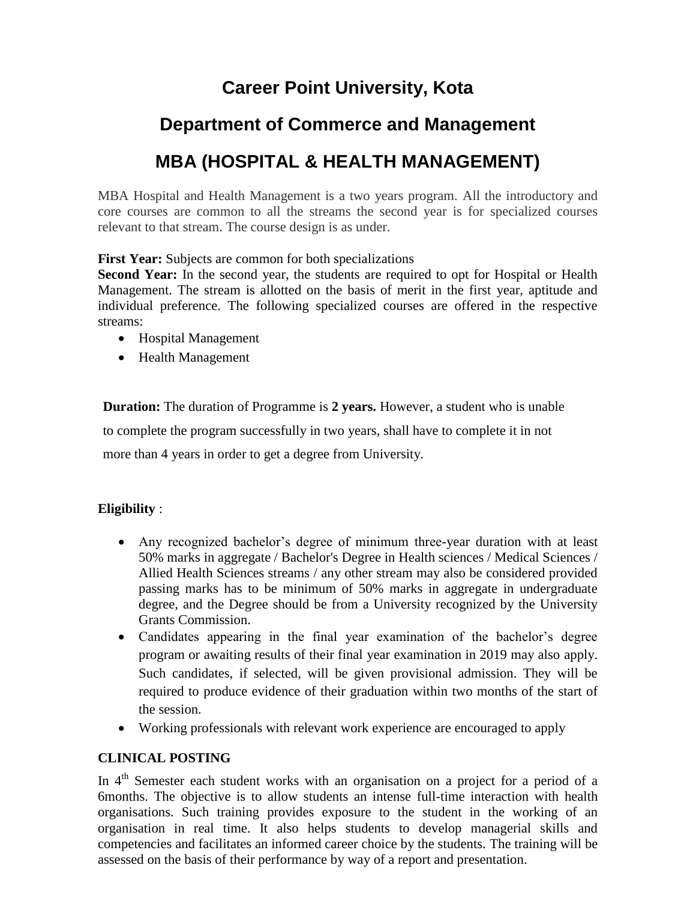# **Career Point University, Kota**

### **Department of Commerce and Management**

## **MBA (HOSPITAL & HEALTH MANAGEMENT)**

MBA Hospital and Health Management is a two years program. All the introductory and core courses are common to all the streams the second year is for specialized courses relevant to that stream. The course design is as under.

**First Year:** Subjects are common for both specializations

**Second Year:** In the second year, the students are required to opt for Hospital or Health Management. The stream is allotted on the basis of merit in the first year, aptitude and individual preference. The following specialized courses are offered in the respective streams:

- Hospital Management
- Health Management

**Duration:** The duration of Programme is **2 years.** However, a student who is unable to complete the program successfully in two years, shall have to complete it in not

more than 4 years in order to get a degree from University.

#### **Eligibility** :

- Any recognized bachelor's degree of minimum three-year duration with at least 50% marks in aggregate / Bachelor's Degree in Health sciences / Medical Sciences / Allied Health Sciences streams / any other stream may also be considered provided passing marks has to be minimum of 50% marks in aggregate in undergraduate degree, and the Degree should be from a University recognized by the University Grants Commission.
- Candidates appearing in the final year examination of the bachelor's degree program or awaiting results of their final year examination in 2019 may also apply. Such candidates, if selected, will be given provisional admission. They will be required to produce evidence of their graduation within two months of the start of the session.
- Working professionals with relevant work experience are encouraged to apply

### **CLINICAL POSTING**

In 4<sup>th</sup> Semester each student works with an organisation on a project for a period of a 6months. The objective is to allow students an intense full-time interaction with health organisations. Such training provides exposure to the student in the working of an organisation in real time. It also helps students to develop managerial skills and competencies and facilitates an informed career choice by the students. The training will be assessed on the basis of their performance by way of a report and presentation.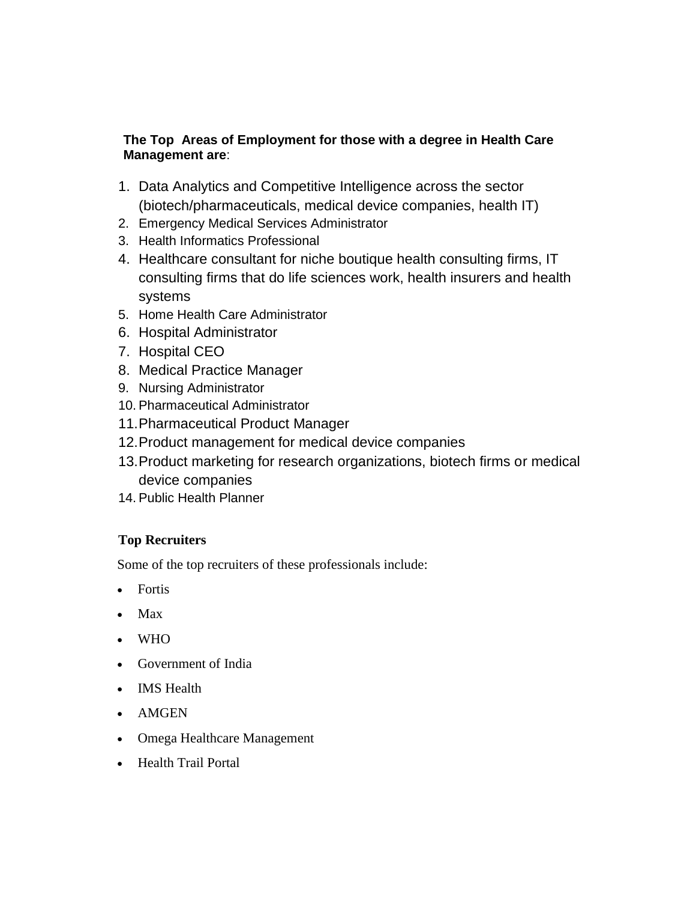#### **The Top Areas of Employment for those with a degree in Health Care Management are**:

- 1. Data Analytics and Competitive Intelligence across the sector (biotech/pharmaceuticals, medical device companies, health IT)
- 2. Emergency Medical Services Administrator
- 3. Health Informatics Professional
- 4. Healthcare consultant for niche boutique health consulting firms, IT consulting firms that do life sciences work, health insurers and health systems
- 5. Home Health Care Administrator
- 6. Hospital Administrator
- 7. Hospital CEO
- 8. Medical Practice Manager
- 9. Nursing Administrator
- 10. Pharmaceutical Administrator
- 11.Pharmaceutical Product Manager
- 12.Product management for medical device companies
- 13.Product marketing for research organizations, biotech firms or medical device companies
- 14. Public Health Planner

### **Top Recruiters**

Some of the top recruiters of these professionals include:

- Fortis
- Max
- WHO
- Government of India
- IMS Health
- AMGEN
- Omega Healthcare Management
- Health Trail Portal